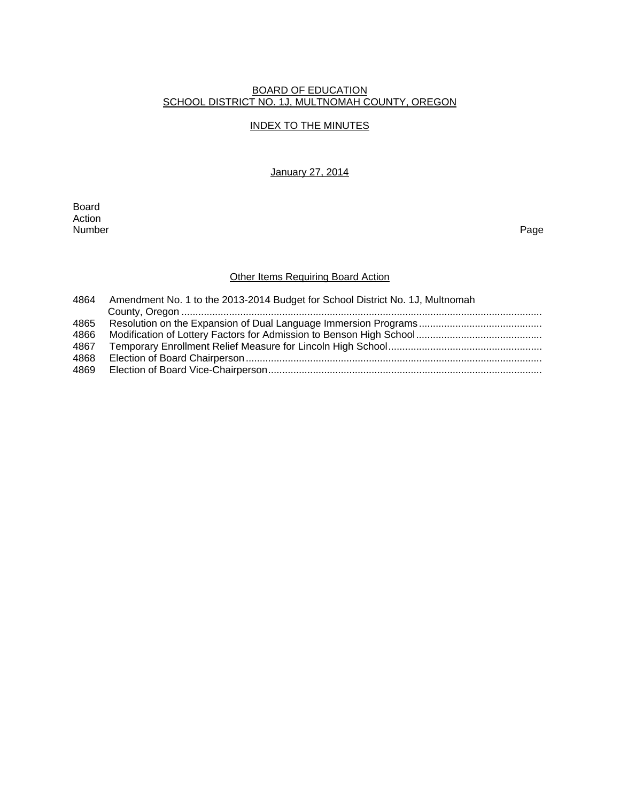#### BOARD OF EDUCATION SCHOOL DISTRICT NO. 1J, MULTNOMAH COUNTY, OREGON

### INDEX TO THE MINUTES

January 27, 2014

Board Action<br>Number Number Page

### **Other Items Requiring Board Action**

| Amendment No. 1 to the 2013-2014 Budget for School District No. 1J, Multnomah |
|-------------------------------------------------------------------------------|
|                                                                               |
|                                                                               |
|                                                                               |
|                                                                               |
|                                                                               |
|                                                                               |
|                                                                               |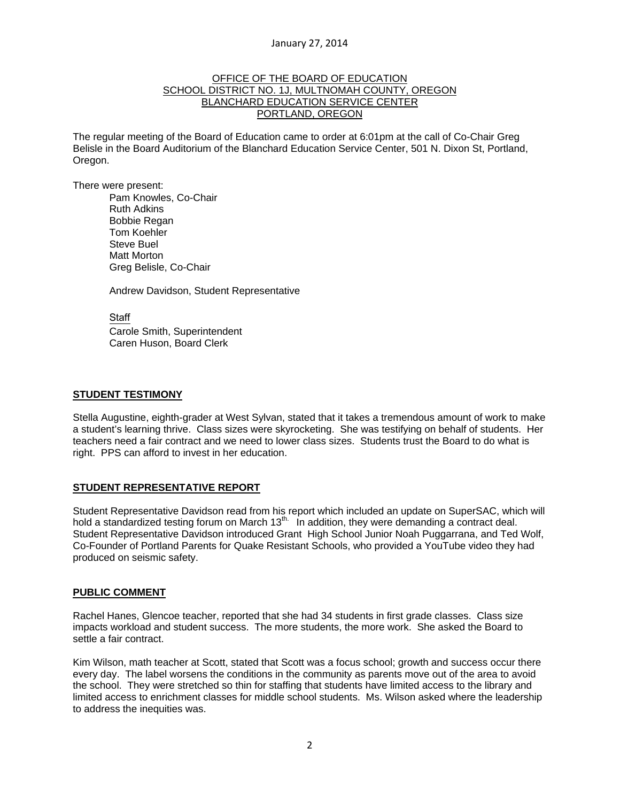### OFFICE OF THE BOARD OF EDUCATION SCHOOL DISTRICT NO. 1J, MULTNOMAH COUNTY, OREGON BLANCHARD EDUCATION SERVICE CENTER PORTLAND, OREGON

The regular meeting of the Board of Education came to order at 6:01pm at the call of Co-Chair Greg Belisle in the Board Auditorium of the Blanchard Education Service Center, 501 N. Dixon St, Portland, Oregon.

There were present: Pam Knowles, Co-Chair Ruth Adkins Bobbie Regan Tom Koehler Steve Buel Matt Morton Greg Belisle, Co-Chair

Andrew Davidson, Student Representative

Staff Carole Smith, Superintendent Caren Huson, Board Clerk

### **STUDENT TESTIMONY**

Stella Augustine, eighth-grader at West Sylvan, stated that it takes a tremendous amount of work to make a student's learning thrive. Class sizes were skyrocketing. She was testifying on behalf of students. Her teachers need a fair contract and we need to lower class sizes. Students trust the Board to do what is right. PPS can afford to invest in her education.

## **STUDENT REPRESENTATIVE REPORT**

Student Representative Davidson read from his report which included an update on SuperSAC, which will hold a standardized testing forum on March 13<sup>th.</sup> In addition, they were demanding a contract deal. Student Representative Davidson introduced Grant High School Junior Noah Puggarrana, and Ted Wolf, Co-Founder of Portland Parents for Quake Resistant Schools, who provided a YouTube video they had produced on seismic safety.

## **PUBLIC COMMENT**

Rachel Hanes, Glencoe teacher, reported that she had 34 students in first grade classes. Class size impacts workload and student success. The more students, the more work. She asked the Board to settle a fair contract.

Kim Wilson, math teacher at Scott, stated that Scott was a focus school; growth and success occur there every day. The label worsens the conditions in the community as parents move out of the area to avoid the school. They were stretched so thin for staffing that students have limited access to the library and limited access to enrichment classes for middle school students. Ms. Wilson asked where the leadership to address the inequities was.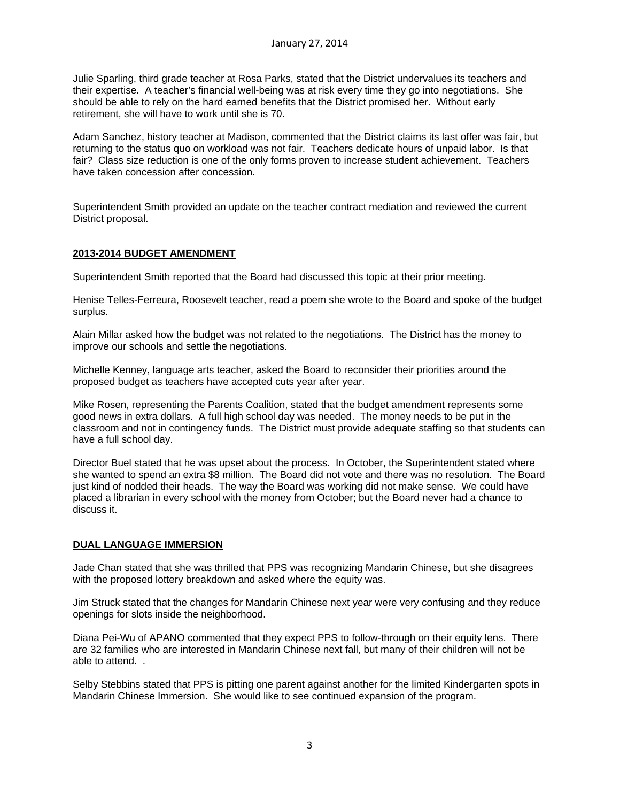Julie Sparling, third grade teacher at Rosa Parks, stated that the District undervalues its teachers and their expertise. A teacher's financial well-being was at risk every time they go into negotiations. She should be able to rely on the hard earned benefits that the District promised her. Without early retirement, she will have to work until she is 70.

Adam Sanchez, history teacher at Madison, commented that the District claims its last offer was fair, but returning to the status quo on workload was not fair. Teachers dedicate hours of unpaid labor. Is that fair? Class size reduction is one of the only forms proven to increase student achievement. Teachers have taken concession after concession.

Superintendent Smith provided an update on the teacher contract mediation and reviewed the current District proposal.

## **2013-2014 BUDGET AMENDMENT**

Superintendent Smith reported that the Board had discussed this topic at their prior meeting.

Henise Telles-Ferreura, Roosevelt teacher, read a poem she wrote to the Board and spoke of the budget surplus.

Alain Millar asked how the budget was not related to the negotiations. The District has the money to improve our schools and settle the negotiations.

Michelle Kenney, language arts teacher, asked the Board to reconsider their priorities around the proposed budget as teachers have accepted cuts year after year.

Mike Rosen, representing the Parents Coalition, stated that the budget amendment represents some good news in extra dollars. A full high school day was needed. The money needs to be put in the classroom and not in contingency funds. The District must provide adequate staffing so that students can have a full school day.

Director Buel stated that he was upset about the process. In October, the Superintendent stated where she wanted to spend an extra \$8 million. The Board did not vote and there was no resolution. The Board just kind of nodded their heads. The way the Board was working did not make sense. We could have placed a librarian in every school with the money from October; but the Board never had a chance to discuss it.

### **DUAL LANGUAGE IMMERSION**

Jade Chan stated that she was thrilled that PPS was recognizing Mandarin Chinese, but she disagrees with the proposed lottery breakdown and asked where the equity was.

Jim Struck stated that the changes for Mandarin Chinese next year were very confusing and they reduce openings for slots inside the neighborhood.

Diana Pei-Wu of APANO commented that they expect PPS to follow-through on their equity lens. There are 32 families who are interested in Mandarin Chinese next fall, but many of their children will not be able to attend. .

Selby Stebbins stated that PPS is pitting one parent against another for the limited Kindergarten spots in Mandarin Chinese Immersion. She would like to see continued expansion of the program.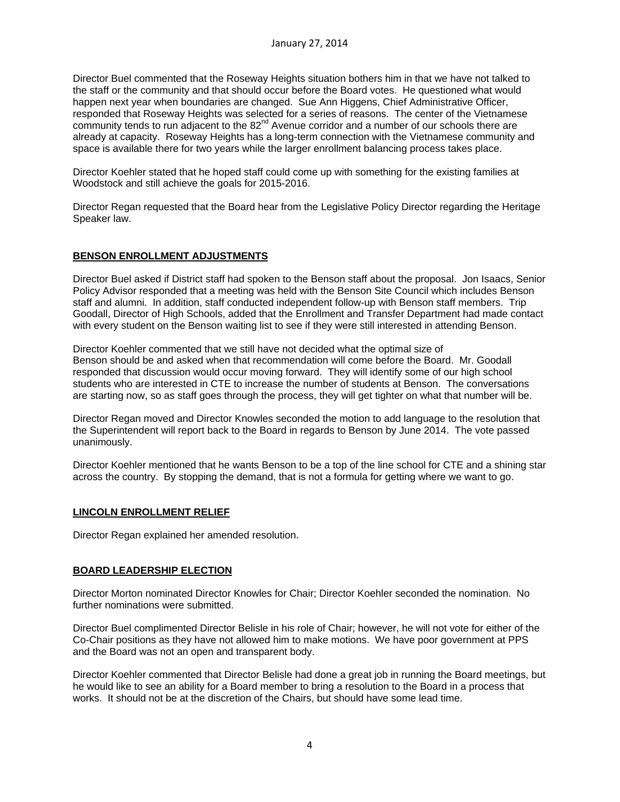Director Buel commented that the Roseway Heights situation bothers him in that we have not talked to the staff or the community and that should occur before the Board votes. He questioned what would happen next year when boundaries are changed. Sue Ann Higgens, Chief Administrative Officer, responded that Roseway Heights was selected for a series of reasons. The center of the Vietnamese community tends to run adjacent to the 82<sup>nd</sup> Avenue corridor and a number of our schools there are already at capacity. Roseway Heights has a long-term connection with the Vietnamese community and space is available there for two years while the larger enrollment balancing process takes place.

Director Koehler stated that he hoped staff could come up with something for the existing families at Woodstock and still achieve the goals for 2015-2016.

Director Regan requested that the Board hear from the Legislative Policy Director regarding the Heritage Speaker law.

# **BENSON ENROLLMENT ADJUSTMENTS**

Director Buel asked if District staff had spoken to the Benson staff about the proposal. Jon Isaacs, Senior Policy Advisor responded that a meeting was held with the Benson Site Council which includes Benson staff and alumni. In addition, staff conducted independent follow-up with Benson staff members. Trip Goodall, Director of High Schools, added that the Enrollment and Transfer Department had made contact with every student on the Benson waiting list to see if they were still interested in attending Benson.

Director Koehler commented that we still have not decided what the optimal size of Benson should be and asked when that recommendation will come before the Board. Mr. Goodall responded that discussion would occur moving forward. They will identify some of our high school students who are interested in CTE to increase the number of students at Benson. The conversations are starting now, so as staff goes through the process, they will get tighter on what that number will be.

Director Regan moved and Director Knowles seconded the motion to add language to the resolution that the Superintendent will report back to the Board in regards to Benson by June 2014. The vote passed unanimously.

Director Koehler mentioned that he wants Benson to be a top of the line school for CTE and a shining star across the country. By stopping the demand, that is not a formula for getting where we want to go.

## **LINCOLN ENROLLMENT RELIEF**

Director Regan explained her amended resolution.

## **BOARD LEADERSHIP ELECTION**

Director Morton nominated Director Knowles for Chair; Director Koehler seconded the nomination. No further nominations were submitted.

Director Buel complimented Director Belisle in his role of Chair; however, he will not vote for either of the Co-Chair positions as they have not allowed him to make motions. We have poor government at PPS and the Board was not an open and transparent body.

Director Koehler commented that Director Belisle had done a great job in running the Board meetings, but he would like to see an ability for a Board member to bring a resolution to the Board in a process that works. It should not be at the discretion of the Chairs, but should have some lead time.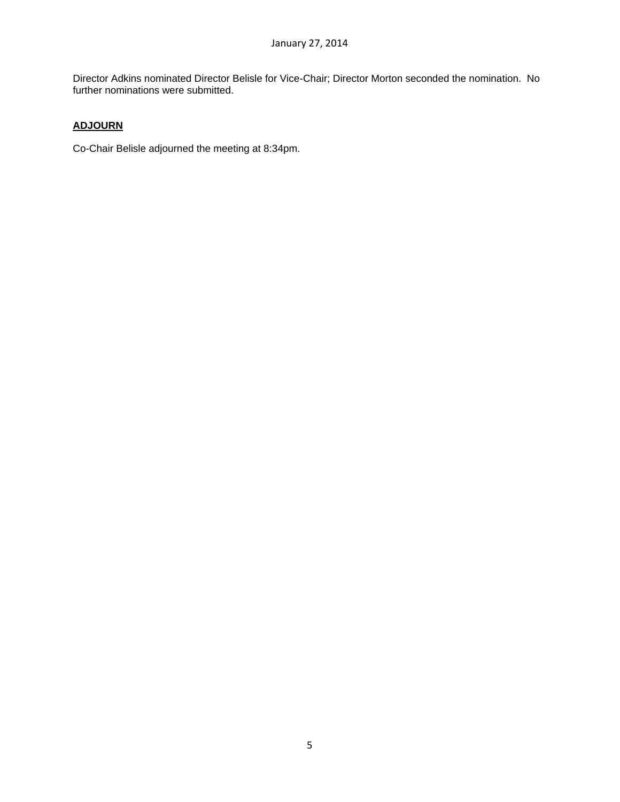Director Adkins nominated Director Belisle for Vice-Chair; Director Morton seconded the nomination. No further nominations were submitted.

# **ADJOURN**

Co-Chair Belisle adjourned the meeting at 8:34pm.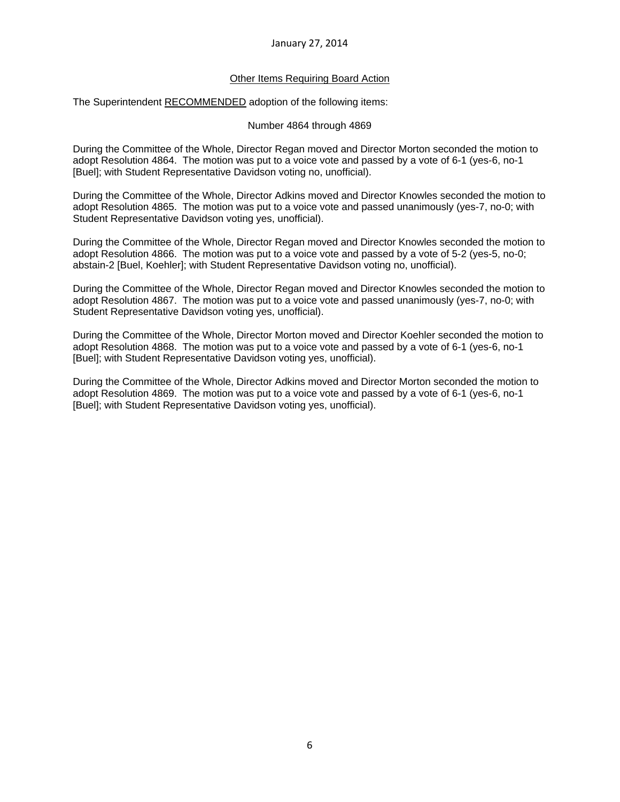### January 27, 2014

### Other Items Requiring Board Action

The Superintendent RECOMMENDED adoption of the following items:

### Number 4864 through 4869

During the Committee of the Whole, Director Regan moved and Director Morton seconded the motion to adopt Resolution 4864. The motion was put to a voice vote and passed by a vote of 6-1 (yes-6, no-1 [Buel]; with Student Representative Davidson voting no, unofficial).

During the Committee of the Whole, Director Adkins moved and Director Knowles seconded the motion to adopt Resolution 4865. The motion was put to a voice vote and passed unanimously (yes-7, no-0; with Student Representative Davidson voting yes, unofficial).

During the Committee of the Whole, Director Regan moved and Director Knowles seconded the motion to adopt Resolution 4866. The motion was put to a voice vote and passed by a vote of 5-2 (yes-5, no-0; abstain-2 [Buel, Koehler]; with Student Representative Davidson voting no, unofficial).

During the Committee of the Whole, Director Regan moved and Director Knowles seconded the motion to adopt Resolution 4867. The motion was put to a voice vote and passed unanimously (yes-7, no-0; with Student Representative Davidson voting yes, unofficial).

During the Committee of the Whole, Director Morton moved and Director Koehler seconded the motion to adopt Resolution 4868. The motion was put to a voice vote and passed by a vote of 6-1 (yes-6, no-1 [Buel]; with Student Representative Davidson voting yes, unofficial).

During the Committee of the Whole, Director Adkins moved and Director Morton seconded the motion to adopt Resolution 4869. The motion was put to a voice vote and passed by a vote of 6-1 (yes-6, no-1 [Buel]; with Student Representative Davidson voting yes, unofficial).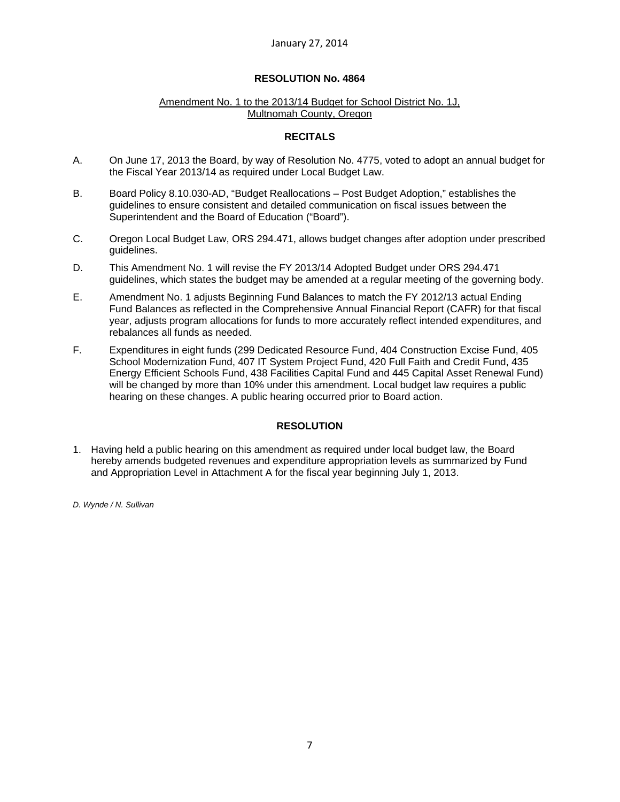### Amendment No. 1 to the 2013/14 Budget for School District No. 1J, Multnomah County, Oregon

### **RECITALS**

- A. On June 17, 2013 the Board, by way of Resolution No. 4775, voted to adopt an annual budget for the Fiscal Year 2013/14 as required under Local Budget Law.
- B. Board Policy 8.10.030-AD, "Budget Reallocations Post Budget Adoption," establishes the guidelines to ensure consistent and detailed communication on fiscal issues between the Superintendent and the Board of Education ("Board").
- C. Oregon Local Budget Law, ORS 294.471, allows budget changes after adoption under prescribed guidelines.
- D. This Amendment No. 1 will revise the FY 2013/14 Adopted Budget under ORS 294.471 guidelines, which states the budget may be amended at a regular meeting of the governing body.
- E. Amendment No. 1 adjusts Beginning Fund Balances to match the FY 2012/13 actual Ending Fund Balances as reflected in the Comprehensive Annual Financial Report (CAFR) for that fiscal year, adjusts program allocations for funds to more accurately reflect intended expenditures, and rebalances all funds as needed.
- F. Expenditures in eight funds (299 Dedicated Resource Fund, 404 Construction Excise Fund, 405 School Modernization Fund, 407 IT System Project Fund, 420 Full Faith and Credit Fund, 435 Energy Efficient Schools Fund, 438 Facilities Capital Fund and 445 Capital Asset Renewal Fund) will be changed by more than 10% under this amendment. Local budget law requires a public hearing on these changes. A public hearing occurred prior to Board action.

## **RESOLUTION**

1. Having held a public hearing on this amendment as required under local budget law, the Board hereby amends budgeted revenues and expenditure appropriation levels as summarized by Fund and Appropriation Level in Attachment A for the fiscal year beginning July 1, 2013.

*D. Wynde / N. Sullivan*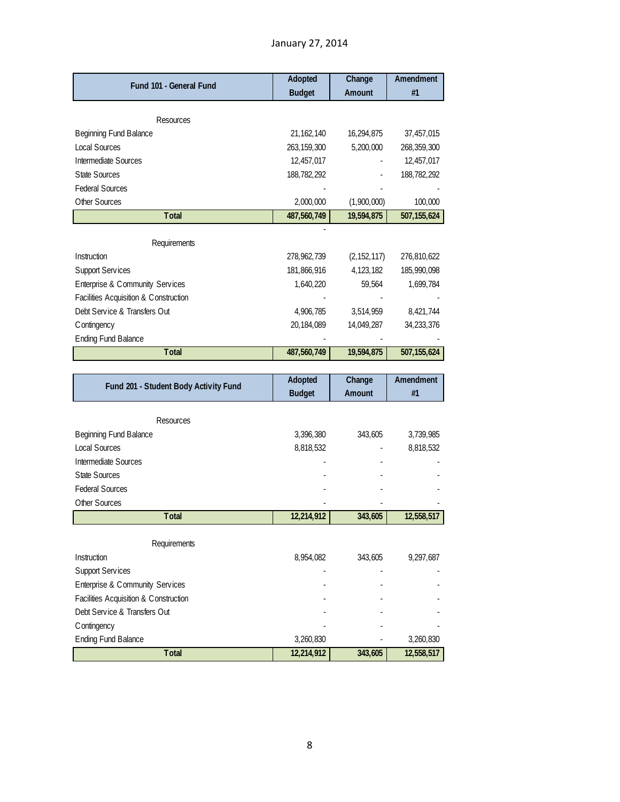| Fund 101 - General Fund                 | Adopted       | Change                    | Amendment     |
|-----------------------------------------|---------------|---------------------------|---------------|
|                                         | <b>Budget</b> | Amount                    | #1            |
|                                         |               |                           |               |
| Resources                               |               |                           |               |
| Beginning Fund Balance                  | 21, 162, 140  | 16,294,875                | 37,457,015    |
| <b>Local Sources</b>                    | 263, 159, 300 | 5,200,000                 | 268, 359, 300 |
| Intermediate Sources                    | 12,457,017    |                           | 12,457,017    |
| <b>State Sources</b>                    | 188,782,292   |                           | 188,782,292   |
| <b>Federal Sources</b><br>Other Sources | 2,000,000     |                           | 100,000       |
| Total                                   | 487,560,749   | (1,900,000)<br>19,594,875 | 507, 155, 624 |
|                                         |               |                           |               |
| Requirements                            |               |                           |               |
| Instruction                             | 278, 962, 739 | (2, 152, 117)             | 276,810,622   |
| <b>Support Services</b>                 | 181,866,916   | 4,123,182                 | 185,990,098   |
| Enterprise & Community Services         | 1,640,220     | 59,564                    | 1,699,784     |
| Facilities Acquisition & Construction   |               |                           |               |
| Debt Service & Transfers Out            | 4,906,785     | 3,514,959                 | 8,421,744     |
| C ontingency                            | 20,184,089    | 14,049,287                | 34,233,376    |
| <b>Ending Fund Balance</b>              |               |                           |               |
| Total                                   | 487,560,749   | 19,594,875                | 507, 155, 624 |
|                                         |               |                           |               |
|                                         |               |                           |               |
|                                         | Adopted       | Change                    | Amendment     |
| Fund 201 - Student Body Activity Fund   | <b>Budget</b> | Amount                    | #1            |
|                                         |               |                           |               |
| Resources                               |               |                           |               |
| Beginning Fund Balance                  | 3,396,380     | 343,605                   | 3,739,985     |
| <b>Local Sources</b>                    | 8,818,532     |                           | 8,818,532     |
| Intermediate Sources                    |               |                           |               |
| <b>State Sources</b>                    |               |                           |               |
| <b>Federal Sources</b>                  |               |                           |               |
| Other Sources<br><b>Total</b>           |               |                           |               |
|                                         | 12,214,912    | 343,605                   | 12,558,517    |
| Requirements                            |               |                           |               |
| Instruction                             | 8,954,082     | 343,605                   | 9,297,687     |
| <b>Support Services</b>                 |               |                           |               |
| Enterprise & Community Services         |               |                           |               |
| Facilities Acquisition & Construction   |               |                           |               |
| Debt Service & Transfers Out            |               |                           |               |
| Contingency                             |               |                           |               |
| <b>Ending Fund Balance</b>              | 3,260,830     |                           | 3,260,830     |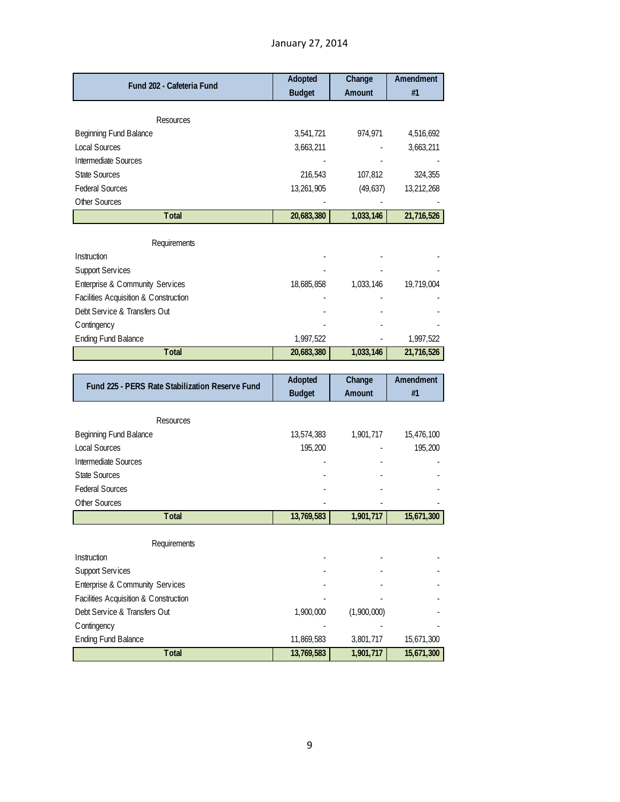| Fund 202 - Cafeteria Fund                                                | <b>Adopted</b><br><b>Budget</b> | Change<br>Amount | Amendment<br>#1 |
|--------------------------------------------------------------------------|---------------------------------|------------------|-----------------|
| Resources                                                                |                                 |                  |                 |
| Beginning Fund Balance                                                   | 3,541,721                       | 974,971          | 4,516,692       |
| <b>Local Sources</b>                                                     | 3,663,211                       |                  | 3,663,211       |
| Intermediate Sources                                                     |                                 |                  |                 |
| <b>State Sources</b>                                                     | 216,543                         | 107,812          | 324,355         |
| <b>Federal Sources</b>                                                   | 13,261,905                      | (49, 637)        | 13,212,268      |
| Other Sources                                                            |                                 |                  |                 |
| <b>T</b> otal                                                            | 20,683,380                      | 1,033,146        | 21,716,526      |
| Requirements                                                             |                                 |                  |                 |
| Instruction                                                              |                                 |                  |                 |
| Support Services                                                         |                                 |                  |                 |
| Enterprise & Community Services                                          | 18,685,858                      | 1,033,146        | 19,719,004      |
| Facilities Acquisition & Construction                                    |                                 |                  |                 |
| Debt Service & Transfers Out                                             |                                 |                  |                 |
| Contingency                                                              |                                 |                  |                 |
| <b>Ending Fund Balance</b>                                               | 1,997,522                       |                  | 1,997,522       |
| <b>T</b> otal                                                            | 20,683,380                      | 1,033,146        | 21,716,526      |
|                                                                          |                                 |                  |                 |
|                                                                          |                                 |                  |                 |
|                                                                          | Adopted                         | Change           | Amendment       |
| Fund 225 - PERS Rate Stabilization Reserve Fund                          | <b>Budget</b>                   | Amount           | #1              |
| Resources                                                                |                                 |                  |                 |
| Beginning Fund Balance                                                   | 13,574,383                      | 1,901,717        | 15,476,100      |
| <b>Local Sources</b>                                                     | 195,200                         |                  | 195,200         |
| Intermediate Sources                                                     |                                 |                  |                 |
| <b>State Sources</b>                                                     |                                 |                  |                 |
| <b>Federal Sources</b>                                                   |                                 |                  |                 |
| Other Sources                                                            |                                 |                  |                 |
| <b>Total</b>                                                             | 13,769,583                      | 1,901,717        | 15,671,300      |
|                                                                          |                                 |                  |                 |
| Requirements                                                             |                                 |                  |                 |
| Instruction                                                              |                                 |                  |                 |
| <b>Support Services</b>                                                  |                                 |                  |                 |
| Enterprise & Community Services<br>Facilities Acquisition & Construction |                                 |                  |                 |
| Debt Service & Transfers Out                                             | 1,900,000                       | (1,900,000)      |                 |
| Contingency                                                              |                                 |                  |                 |

Total 13,769,583 1,901,717 15,671,300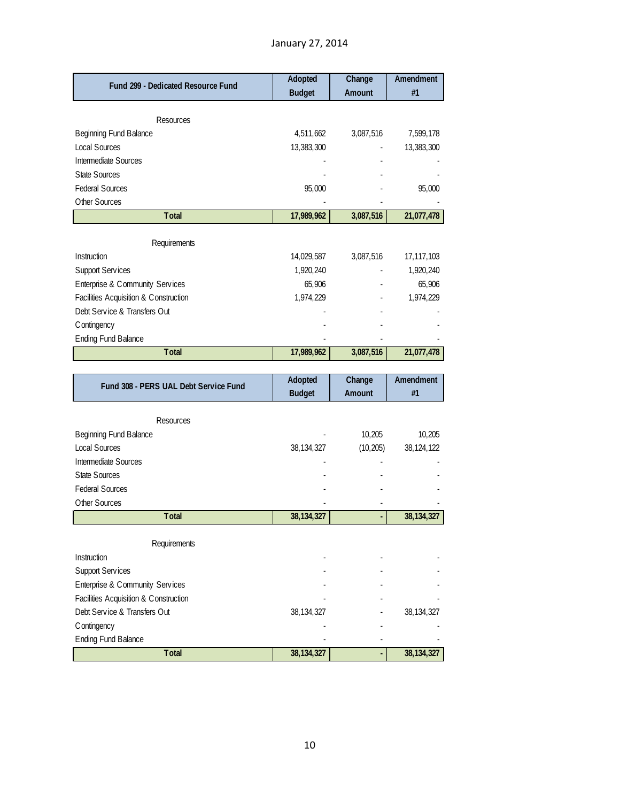| <b>Fund 299 - Dedicated Resource Fund</b>             | <b>Adopted</b><br><b>Budget</b> | Change<br>Amount | Amendment<br>#1         |
|-------------------------------------------------------|---------------------------------|------------------|-------------------------|
|                                                       |                                 |                  |                         |
| Resources                                             |                                 |                  |                         |
| <b>Beginning Fund Balance</b><br><b>Local Sources</b> | 4,511,662<br>13,383,300         | 3,087,516        | 7,599,178<br>13,383,300 |
| <b>Intermediate Sources</b>                           |                                 |                  |                         |
| State Sources                                         |                                 |                  |                         |
| <b>Federal Sources</b>                                | 95,000                          |                  | 95,000                  |
| Other Sources                                         |                                 |                  |                         |
| Total                                                 | 17,989,962                      | 3,087,516        | 21,077,478              |
|                                                       |                                 |                  |                         |
| Requirements                                          |                                 |                  |                         |
| Instruction                                           | 14,029,587                      | 3,087,516        | 17, 117, 103            |
| <b>Support Services</b>                               | 1,920,240                       |                  | 1,920,240               |
| Enterprise & Community Services                       | 65,906                          |                  | 65,906                  |
| Facilities Acquisition & Construction                 | 1,974,229                       |                  | 1,974,229               |
| Debt Service & Transfers Out                          |                                 |                  |                         |
| Contingency                                           |                                 |                  |                         |
| <b>Ending Fund Balance</b>                            |                                 |                  |                         |
| Total                                                 | 17,989,962                      | 3,087,516        | 21,077,478              |
|                                                       |                                 |                  |                         |
| Fund 308 - PERS UAL Debt Service Fund                 | Adopted                         | Change           | Amendment               |
|                                                       | <b>Budget</b>                   | Amount           | #1                      |
|                                                       |                                 |                  |                         |
| Resources                                             |                                 | 10,205           |                         |
| Beginning Fund Balance<br><b>Local Sources</b>        |                                 | (10, 205)        | 10,205<br>38, 124, 122  |
| Intermediate Sources                                  | 38, 134, 327                    |                  |                         |
| <b>State Sources</b>                                  |                                 |                  |                         |
| <b>Federal Sources</b>                                |                                 |                  |                         |
| Other Sources                                         |                                 |                  |                         |
| Total                                                 | 38, 134, 327                    | ä,               | 38, 134, 327            |
|                                                       |                                 |                  |                         |
| Requirements                                          |                                 |                  |                         |
| Instruction                                           |                                 |                  |                         |

| <b>Requirements</b>                   |              |   |              |
|---------------------------------------|--------------|---|--------------|
| Instruction                           |              |   |              |
| <b>Support Services</b>               |              |   |              |
| Enterprise & Community Services       |              |   |              |
| Facilities Acquisition & Construction |              |   |              |
| Debt Service & Transfers Out          | 38, 134, 327 |   | 38, 134, 327 |
| Contingency                           |              |   |              |
| <b>Ending Fund Balance</b>            |              |   |              |
| Total                                 | 38, 134, 327 | ٠ | 38, 134, 327 |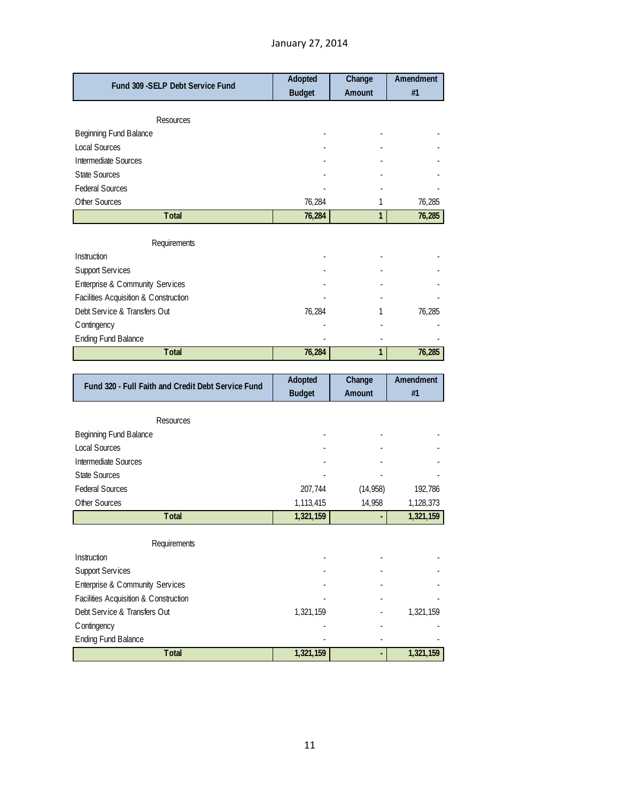# January 27, 2014

|                                                    | Adopted       | Change       | Amendment |
|----------------------------------------------------|---------------|--------------|-----------|
| Fund 309 - SELP Debt Service Fund                  | <b>Budget</b> | Amount       | #1        |
|                                                    |               |              |           |
| Resources                                          |               |              |           |
| Beginning Fund Balance                             |               |              |           |
| <b>Local Sources</b>                               |               |              |           |
| Intermediate Sources                               |               |              |           |
| <b>State Sources</b>                               |               |              |           |
| <b>Federal Sources</b>                             |               |              |           |
| Other Sources                                      | 76,284        | 1            | 76,285    |
| Total                                              | 76,284        | $\mathbf{1}$ | 76,285    |
| Requirements                                       |               |              |           |
| Instruction                                        |               |              |           |
| <b>Support Services</b>                            |               |              |           |
| Enterprise & Community Services                    |               |              |           |
| Facilities Acquisition & Construction              |               |              |           |
| Debt Service & Transfers Out                       | 76,284        | 1            | 76,285    |
| C ontingency                                       |               |              |           |
| <b>Ending Fund Balance</b>                         |               |              |           |
| Total                                              | 76,284        | 1            | 76,285    |
|                                                    |               |              |           |
|                                                    |               |              |           |
|                                                    | Adopted       | Change       | Amendment |
| Fund 320 - Full Faith and Credit Debt Service Fund | <b>Budget</b> | Amount       | #1        |
|                                                    |               |              |           |
| Resources                                          |               |              |           |
| Beginning Fund Balance                             |               |              |           |
| <b>Local Sources</b>                               |               |              |           |
| Intermediate Sources                               |               |              |           |
| State Sources                                      |               |              |           |
| <b>Federal Sources</b>                             | 207,744       | (14, 958)    | 192,786   |
| Other Sources                                      | 1,113,415     | 14,958       | 1,128,373 |
| Total                                              | 1,321,159     |              | 1,321,159 |
| Requirements                                       |               |              |           |
| Instruction                                        |               |              |           |
| Support Services                                   |               |              |           |
| Enterprise & Community Services                    |               |              |           |
| Facilities Acquisition & Construction              |               |              |           |
| Debt Service & Transfers Out                       | 1,321,159     |              | 1,321,159 |
| C ontingency                                       |               |              |           |
| <b>Ending Fund Balance</b>                         |               |              |           |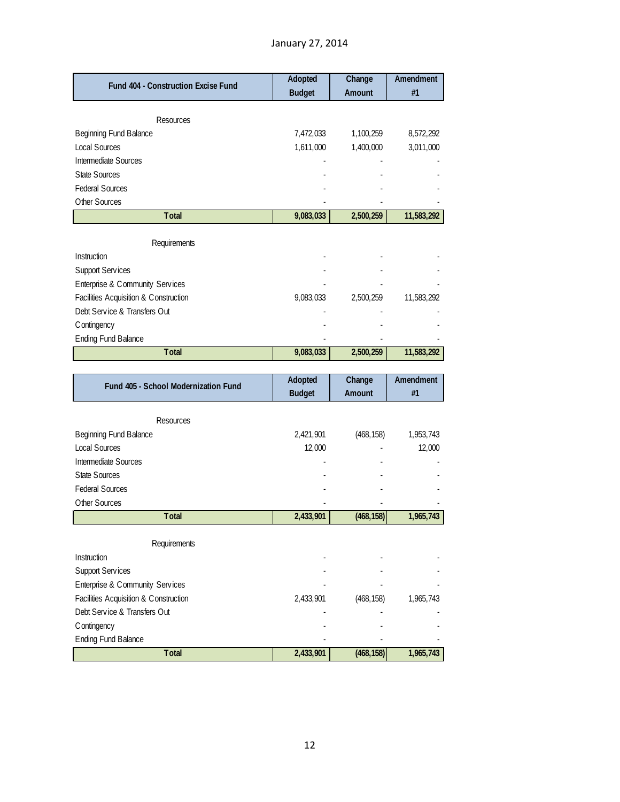| Fund 404 - Construction Excise Fund                                   | <b>Adopted</b> | Change     | Amendment<br>#1  |
|-----------------------------------------------------------------------|----------------|------------|------------------|
|                                                                       | <b>Budget</b>  | Amount     |                  |
| Resources                                                             |                |            |                  |
| Beginning Fund Balance                                                | 7,472,033      | 1,100,259  | 8,572,292        |
| <b>Local Sources</b>                                                  | 1,611,000      | 1,400,000  | 3,011,000        |
| Intermediate Sources                                                  |                |            |                  |
| <b>State Sources</b>                                                  |                |            |                  |
| <b>Federal Sources</b>                                                |                |            |                  |
| Other Sources                                                         |                |            |                  |
| Total                                                                 | 9,083,033      | 2,500,259  | 11,583,292       |
|                                                                       |                |            |                  |
| Requirements                                                          |                |            |                  |
| Instruction                                                           |                |            |                  |
| Support Services                                                      |                |            |                  |
| Enterprise & Community Services                                       |                |            |                  |
| Facilities Acquisition & Construction<br>Debt Service & Transfers Out | 9,083,033      | 2,500,259  | 11,583,292       |
| C ontingency                                                          |                |            |                  |
| <b>Ending Fund Balance</b>                                            |                |            |                  |
| Total                                                                 | 9,083,033      | 2,500,259  | 11,583,292       |
|                                                                       |                |            |                  |
|                                                                       |                |            |                  |
|                                                                       | <b>Adopted</b> | Change     | <b>Amendment</b> |
| Fund 405 - School Modernization Fund                                  | <b>Budget</b>  | Amount     | #1               |
|                                                                       |                |            |                  |
| Resources                                                             |                |            |                  |
| Beginning Fund Balance                                                | 2,421,901      | (468, 158) | 1,953,743        |
| <b>Local Sources</b>                                                  | 12,000         |            | 12,000           |
| Intermediate Sources                                                  |                |            |                  |
| <b>State Sources</b>                                                  |                |            |                  |
| <b>Federal Sources</b>                                                |                |            |                  |
| Other Sources                                                         |                |            |                  |
| Total                                                                 | 2,433,901      | (468, 158) | 1,965,743        |
| Requirements                                                          |                |            |                  |
| Instruction                                                           |                |            |                  |
| <b>Support Services</b>                                               |                |            |                  |
| Enterprise & Community Services                                       |                |            |                  |
| Facilities Acquisition & Construction                                 | 2,433,901      | (468, 158) | 1,965,743        |
| Debt Service & Transfers Out                                          |                |            |                  |
| C ontingency<br><b>Ending Fund Balance</b>                            |                |            |                  |

**Total 2,433,901 (468,158) 1,965,743**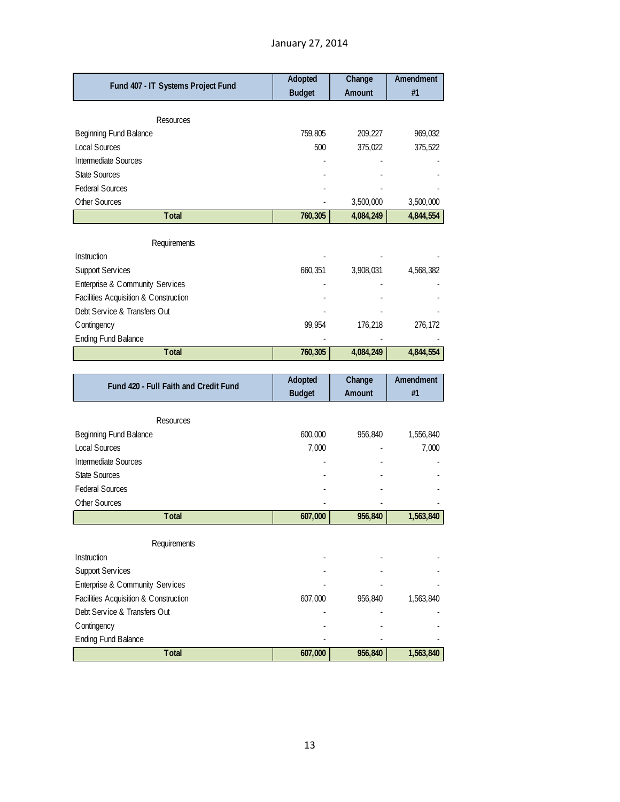| Fund 407 - IT Systems Project Fund                                    | Adopted<br><b>Budget</b> | Change<br>Amount | Amendment<br>#1 |
|-----------------------------------------------------------------------|--------------------------|------------------|-----------------|
|                                                                       |                          |                  |                 |
| Resources                                                             |                          |                  |                 |
| Beginning Fund Balance                                                | 759,805                  | 209,227          | 969,032         |
| <b>Local Sources</b>                                                  | 500                      | 375,022          | 375,522         |
| Intermediate Sources                                                  |                          |                  |                 |
| <b>State Sources</b>                                                  |                          |                  |                 |
| <b>Federal Sources</b>                                                |                          |                  |                 |
| Other Sources                                                         |                          | 3,500,000        | 3,500,000       |
| Total                                                                 | 760,305                  | 4,084,249        | 4,844,554       |
|                                                                       |                          |                  |                 |
| Requirements<br>Instruction                                           |                          |                  |                 |
|                                                                       |                          |                  |                 |
| <b>Support Services</b>                                               | 660,351                  | 3,908,031        | 4,568,382       |
| Enterprise & Community Services                                       |                          |                  |                 |
| Facilities Acquisition & Construction                                 |                          |                  |                 |
| Debt Service & Transfers Out                                          |                          |                  |                 |
| Contingency                                                           | 99,954                   | 176,218          | 276,172         |
| <b>Ending Fund Balance</b>                                            |                          |                  |                 |
| Total                                                                 | 760,305                  | 4,084,249        | 4,844,554       |
|                                                                       |                          |                  |                 |
|                                                                       |                          |                  |                 |
| Fund 420 - Full Faith and Credit Fund                                 | Adopted<br><b>Budget</b> | Change<br>Amount | Amendment<br>#1 |
|                                                                       |                          |                  |                 |
| Resources                                                             |                          |                  |                 |
| Beginning Fund Balance                                                | 600,000                  | 956,840          | 1,556,840       |
| <b>Local Sources</b>                                                  | 7,000                    |                  | 7,000           |
| Intermediate Sources                                                  |                          |                  |                 |
| <b>State Sources</b>                                                  |                          |                  |                 |
| <b>Federal Sources</b>                                                |                          |                  |                 |
| Other Sources                                                         |                          |                  |                 |
| Total                                                                 | 607,000                  | 956,840          | 1,563,840       |
|                                                                       |                          |                  |                 |
| Requirements<br>Instruction                                           |                          |                  |                 |
|                                                                       |                          |                  |                 |
| <b>Support Services</b>                                               |                          |                  |                 |
| Enterprise & Community Services                                       |                          |                  |                 |
| Facilities Acquisition & Construction<br>Debt Service & Transfers Out | 607,000                  | 956,840          | 1,563,840       |
|                                                                       |                          |                  |                 |
| C ontingency<br><b>Ending Fund Balance</b>                            |                          |                  |                 |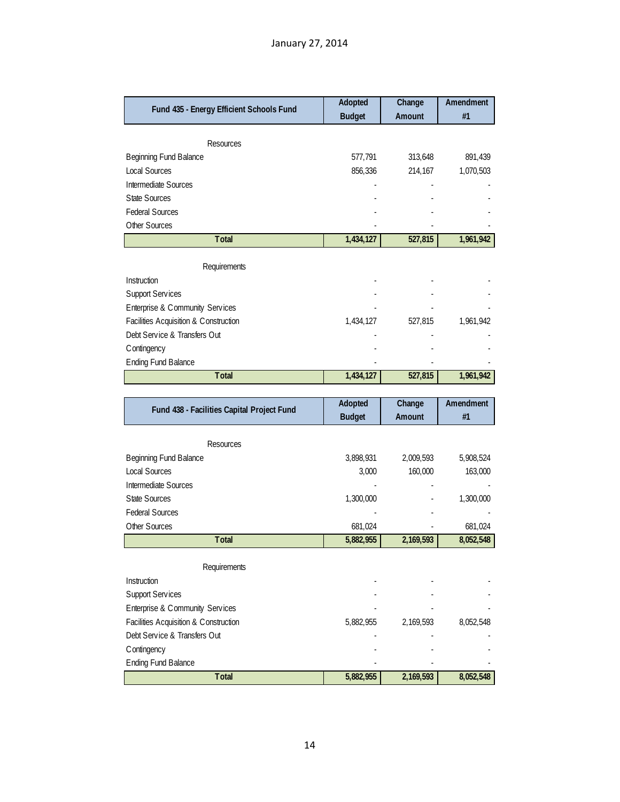| Fund 435 - Energy Efficient Schools Fund   | Adopted              | Change    | <b>Amendment</b>     |
|--------------------------------------------|----------------------|-----------|----------------------|
|                                            | <b>Budget</b>        | Amount    | #1                   |
|                                            |                      |           |                      |
| Resources<br>Beginning Fund Balance        | 577,791              | 313,648   | 891,439              |
| Local Sources                              | 856,336              | 214,167   | 1,070,503            |
| Intermediate Sources                       |                      |           |                      |
| <b>State Sources</b>                       |                      |           |                      |
| <b>Federal Sources</b>                     |                      |           |                      |
| Other Sources                              |                      |           |                      |
| Total                                      | 1,434,127            | 527,815   | 1,961,942            |
|                                            |                      |           |                      |
| Requirements                               |                      |           |                      |
| Instruction                                |                      |           |                      |
| <b>Support Services</b>                    |                      |           |                      |
| Enterprise & Community Services            |                      |           |                      |
| Facilities Acquisition & Construction      | 1,434,127            | 527,815   | 1,961,942            |
| Debt Service & Transfers Out               |                      |           |                      |
| C ontingency                               |                      |           |                      |
| <b>Ending Fund Balance</b>                 |                      |           |                      |
| Total                                      | 1,434,127            | 527,815   | 1,961,942            |
|                                            |                      |           |                      |
|                                            |                      |           |                      |
| Fund 438 - Facilities Capital Project Fund | Adopted              | Change    | Amendment            |
|                                            | <b>Budget</b>        | Amount    | #1                   |
|                                            |                      |           |                      |
| Resources                                  |                      |           |                      |
| Beginning Fund Balance                     | 3,898,931            | 2,009,593 | 5,908,524            |
| Local Sources                              | 3,000                | 160,000   | 163,000              |
| Intermediate Sources                       |                      |           |                      |
| <b>State Sources</b>                       | 1,300,000            |           | 1,300,000            |
| <b>Federal Sources</b>                     |                      |           |                      |
| Other Sources<br>Total                     | 681,024<br>5,882,955 | 2,169,593 | 681,024<br>8,052,548 |
|                                            |                      |           |                      |
| Requirements                               |                      |           |                      |
| Instruction                                |                      |           |                      |
| <b>Support Services</b>                    |                      |           |                      |
| Enterprise & Community Services            |                      |           |                      |
| Facilities Acquisition & Construction      | 5,882,955            | 2,169,593 | 8,052,548            |
| Debt Service & Transfers Out               |                      |           |                      |
| C ontingency                               |                      |           |                      |
| <b>Ending Fund Balance</b>                 |                      |           |                      |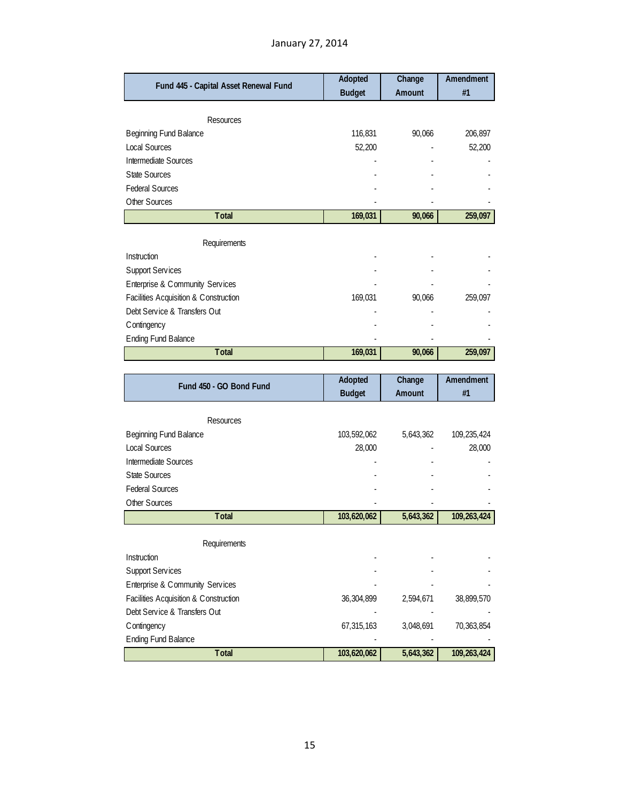# January 27, 2014

| Fund 445 - Capital Asset Renewal Fund | Adopted<br><b>Budget</b> | Change<br>Amount | Amendment<br>#1 |
|---------------------------------------|--------------------------|------------------|-----------------|
|                                       |                          |                  |                 |
| Resources                             |                          |                  |                 |
| Beginning Fund Balance                | 116,831                  | 90,066           | 206,897         |
| <b>Local Sources</b>                  | 52,200                   |                  | 52,200          |
| <b>Intermediate Sources</b>           |                          |                  |                 |
| <b>State Sources</b>                  |                          |                  |                 |
| <b>Federal Sources</b>                |                          |                  |                 |
| Other Sources                         |                          |                  |                 |
| Total                                 | 169,031                  | 90,066           | 259,097         |
|                                       |                          |                  |                 |
| Requirements                          |                          |                  |                 |
| Instruction                           |                          |                  |                 |
| <b>Support Services</b>               |                          |                  |                 |
| Enterprise & Community Services       |                          |                  |                 |
| Facilities Acquisition & Construction | 169,031                  | 90,066           | 259,097         |
| Debt Service & Transfers Out          |                          |                  |                 |
| Contingency                           |                          |                  |                 |
| <b>Ending Fund Balance</b>            |                          |                  |                 |
| Total                                 | 169,031                  | 90,066           | 259,097         |
|                                       |                          |                  |                 |
|                                       |                          |                  |                 |
| Fund 450 - GO Bond Fund               | Adopted                  | Change           | Amendment       |
|                                       | <b>Budget</b>            | Amount           | #1              |
| Resources                             |                          |                  |                 |
| Beginning Fund Balance                | 103,592,062              | 5,643,362        | 109,235,424     |
| <b>Local Sources</b>                  | 28,000                   |                  | 28,000          |
| <b>Intermediate Sources</b>           |                          |                  |                 |
| <b>State Sources</b>                  |                          |                  |                 |
| <b>Federal Sources</b>                |                          |                  |                 |
| Other Sources                         |                          |                  |                 |
| <b>T</b> otal                         | 103,620,062              | 5,643,362        | 109,263,424     |
|                                       |                          |                  |                 |
| Requirements                          |                          |                  |                 |
| Instruction                           |                          |                  |                 |
| <b>Support Services</b>               |                          |                  |                 |
| Enterprise & Community Services       |                          |                  |                 |
| Facilities Acquisition & Construction | 36,304,899               | 2,594,671        | 38,899,570      |
| Debt Service & Transfers Out          |                          |                  |                 |
| C ontingency                          | 67,315,163               | 3,048,691        | 70,363,854      |
| <b>Ending Fund Balance</b>            |                          |                  |                 |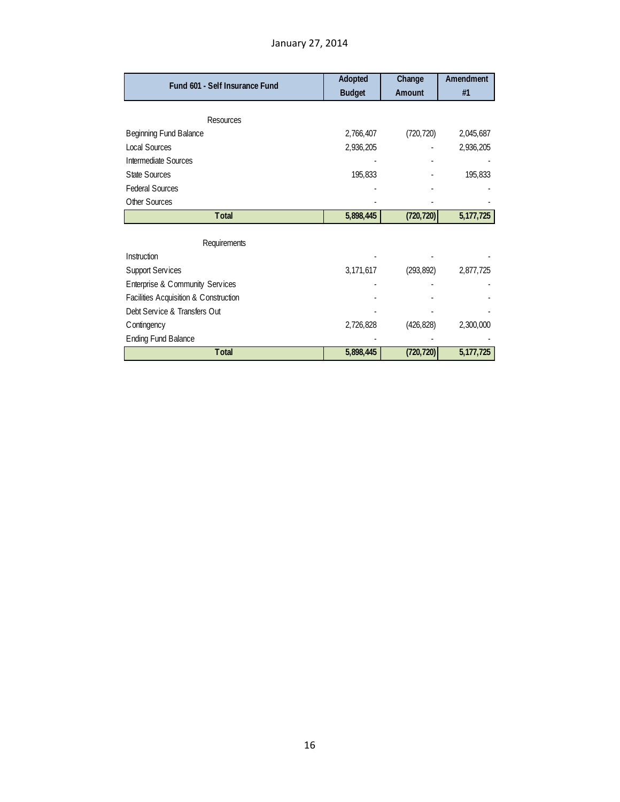| Fund 601 - Self Insurance Fund        | Adopted       | Change     | Amendment   |
|---------------------------------------|---------------|------------|-------------|
|                                       | <b>Budget</b> | Amount     | #1          |
|                                       |               |            |             |
| Resources                             |               |            |             |
| Beginning Fund Balance                | 2,766,407     | (720, 720) | 2,045,687   |
| Local Sources                         | 2,936,205     |            | 2,936,205   |
| Intermediate Sources                  |               |            |             |
| <b>State Sources</b>                  | 195,833       |            | 195,833     |
| <b>Federal Sources</b>                |               |            |             |
| Other Sources                         |               |            |             |
| <b>T</b> otal                         | 5,898,445     | (720, 720) | 5, 177, 725 |
|                                       |               |            |             |
| Requirements                          |               |            |             |
| Instruction                           |               |            |             |
| <b>Support Services</b>               | 3,171,617     | (293, 892) | 2,877,725   |
| Enterprise & Community Services       |               |            |             |
| Facilities Acquisition & Construction |               |            |             |
| Debt Service & Transfers Out          |               |            |             |
| C ontingency                          | 2,726,828     | (426, 828) | 2,300,000   |
| <b>Ending Fund Balance</b>            |               |            |             |
| <b>T</b> otal                         | 5,898,445     | (720, 720) | 5, 177, 725 |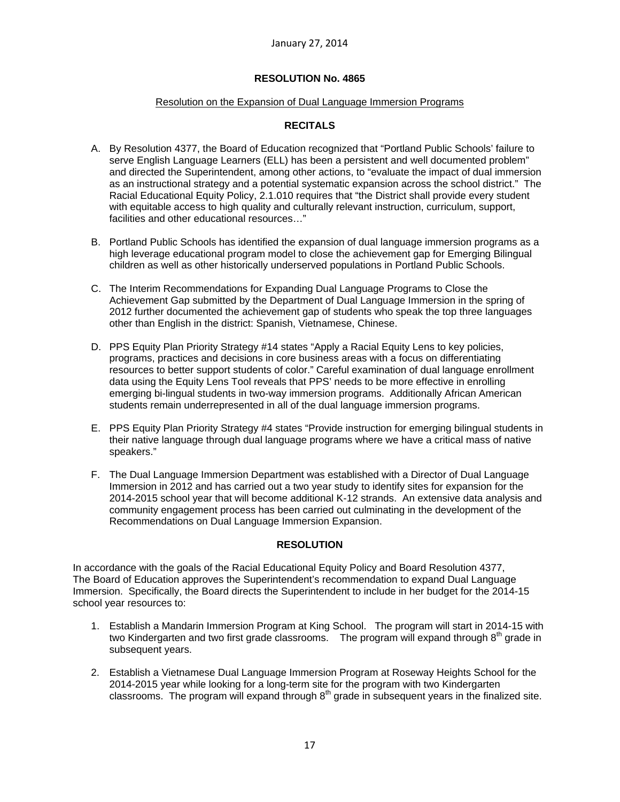### Resolution on the Expansion of Dual Language Immersion Programs

# **RECITALS**

- A. By Resolution 4377, the Board of Education recognized that "Portland Public Schools' failure to serve English Language Learners (ELL) has been a persistent and well documented problem" and directed the Superintendent, among other actions, to "evaluate the impact of dual immersion as an instructional strategy and a potential systematic expansion across the school district." The Racial Educational Equity Policy, 2.1.010 requires that "the District shall provide every student with equitable access to high quality and culturally relevant instruction, curriculum, support, facilities and other educational resources…"
- B. Portland Public Schools has identified the expansion of dual language immersion programs as a high leverage educational program model to close the achievement gap for Emerging Bilingual children as well as other historically underserved populations in Portland Public Schools.
- C. The Interim Recommendations for Expanding Dual Language Programs to Close the Achievement Gap submitted by the Department of Dual Language Immersion in the spring of 2012 further documented the achievement gap of students who speak the top three languages other than English in the district: Spanish, Vietnamese, Chinese.
- D. PPS Equity Plan Priority Strategy #14 states "Apply a Racial Equity Lens to key policies, programs, practices and decisions in core business areas with a focus on differentiating resources to better support students of color." Careful examination of dual language enrollment data using the Equity Lens Tool reveals that PPS' needs to be more effective in enrolling emerging bi-lingual students in two-way immersion programs. Additionally African American students remain underrepresented in all of the dual language immersion programs.
- E. PPS Equity Plan Priority Strategy #4 states "Provide instruction for emerging bilingual students in their native language through dual language programs where we have a critical mass of native speakers."
- F. The Dual Language Immersion Department was established with a Director of Dual Language Immersion in 2012 and has carried out a two year study to identify sites for expansion for the 2014-2015 school year that will become additional K-12 strands. An extensive data analysis and community engagement process has been carried out culminating in the development of the Recommendations on Dual Language Immersion Expansion.

## **RESOLUTION**

In accordance with the goals of the Racial Educational Equity Policy and Board Resolution 4377, The Board of Education approves the Superintendent's recommendation to expand Dual Language Immersion. Specifically, the Board directs the Superintendent to include in her budget for the 2014-15 school year resources to:

- 1. Establish a Mandarin Immersion Program at King School. The program will start in 2014-15 with two Kindergarten and two first grade classrooms. The program will expand through 8<sup>th</sup> grade in subsequent years.
- 2. Establish a Vietnamese Dual Language Immersion Program at Roseway Heights School for the 2014-2015 year while looking for a long-term site for the program with two Kindergarten classrooms. The program will expand through  $8<sup>th</sup>$  grade in subsequent years in the finalized site.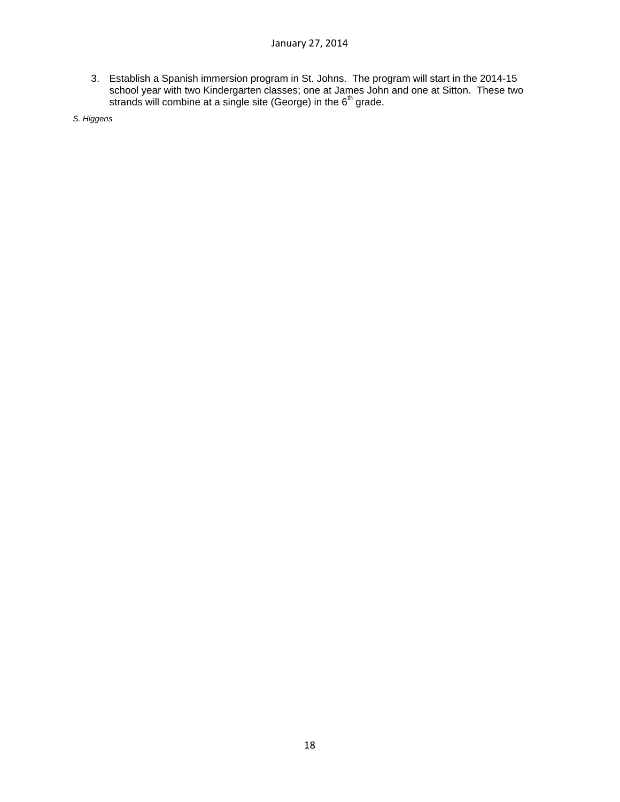3. Establish a Spanish immersion program in St. Johns. The program will start in the 2014-15 school year with two Kindergarten classes; one at James John and one at Sitton. These two strands will combine at a single site (George) in the  $6<sup>th</sup>$  grade.

*S. Higgens*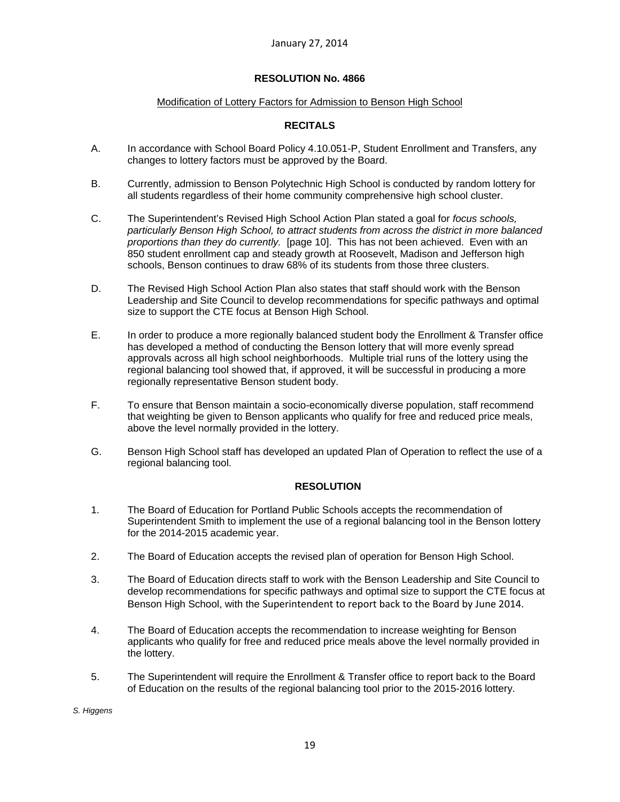### Modification of Lottery Factors for Admission to Benson High School

# **RECITALS**

- A. In accordance with School Board Policy 4.10.051-P, Student Enrollment and Transfers, any changes to lottery factors must be approved by the Board.
- B. Currently, admission to Benson Polytechnic High School is conducted by random lottery for all students regardless of their home community comprehensive high school cluster.
- C. The Superintendent's Revised High School Action Plan stated a goal for *focus schools, particularly Benson High School, to attract students from across the district in more balanced proportions than they do currently.* [page 10]. This has not been achieved. Even with an 850 student enrollment cap and steady growth at Roosevelt, Madison and Jefferson high schools, Benson continues to draw 68% of its students from those three clusters.
- D. The Revised High School Action Plan also states that staff should work with the Benson Leadership and Site Council to develop recommendations for specific pathways and optimal size to support the CTE focus at Benson High School.
- E. In order to produce a more regionally balanced student body the Enrollment & Transfer office has developed a method of conducting the Benson lottery that will more evenly spread approvals across all high school neighborhoods. Multiple trial runs of the lottery using the regional balancing tool showed that, if approved, it will be successful in producing a more regionally representative Benson student body.
- F. To ensure that Benson maintain a socio-economically diverse population, staff recommend that weighting be given to Benson applicants who qualify for free and reduced price meals, above the level normally provided in the lottery.
- G. Benson High School staff has developed an updated Plan of Operation to reflect the use of a regional balancing tool.

### **RESOLUTION**

- 1. The Board of Education for Portland Public Schools accepts the recommendation of Superintendent Smith to implement the use of a regional balancing tool in the Benson lottery for the 2014-2015 academic year.
- 2. The Board of Education accepts the revised plan of operation for Benson High School.
- 3. The Board of Education directs staff to work with the Benson Leadership and Site Council to develop recommendations for specific pathways and optimal size to support the CTE focus at Benson High School, with the Superintendent to report back to the Board by June 2014.
- 4. The Board of Education accepts the recommendation to increase weighting for Benson applicants who qualify for free and reduced price meals above the level normally provided in the lottery.
- 5. The Superintendent will require the Enrollment & Transfer office to report back to the Board of Education on the results of the regional balancing tool prior to the 2015-2016 lottery.

*S. Higgens*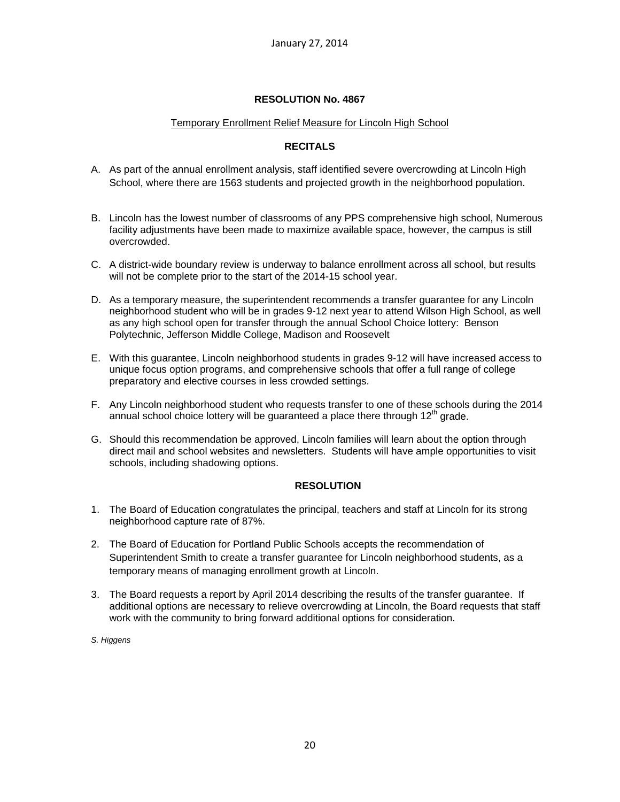## Temporary Enrollment Relief Measure for Lincoln High School

# **RECITALS**

- A. As part of the annual enrollment analysis, staff identified severe overcrowding at Lincoln High School, where there are 1563 students and projected growth in the neighborhood population.
- B. Lincoln has the lowest number of classrooms of any PPS comprehensive high school, Numerous facility adjustments have been made to maximize available space, however, the campus is still overcrowded.
- C. A district-wide boundary review is underway to balance enrollment across all school, but results will not be complete prior to the start of the 2014-15 school year.
- D. As a temporary measure, the superintendent recommends a transfer guarantee for any Lincoln neighborhood student who will be in grades 9-12 next year to attend Wilson High School, as well as any high school open for transfer through the annual School Choice lottery: Benson Polytechnic, Jefferson Middle College, Madison and Roosevelt
- E. With this guarantee, Lincoln neighborhood students in grades 9-12 will have increased access to unique focus option programs, and comprehensive schools that offer a full range of college preparatory and elective courses in less crowded settings.
- F. Any Lincoln neighborhood student who requests transfer to one of these schools during the 2014 annual school choice lottery will be guaranteed a place there through  $12<sup>th</sup>$  grade.
- G. Should this recommendation be approved, Lincoln families will learn about the option through direct mail and school websites and newsletters. Students will have ample opportunities to visit schools, including shadowing options.

## **RESOLUTION**

- 1. The Board of Education congratulates the principal, teachers and staff at Lincoln for its strong neighborhood capture rate of 87%.
- 2. The Board of Education for Portland Public Schools accepts the recommendation of Superintendent Smith to create a transfer guarantee for Lincoln neighborhood students, as a temporary means of managing enrollment growth at Lincoln.
- 3. The Board requests a report by April 2014 describing the results of the transfer guarantee. If additional options are necessary to relieve overcrowding at Lincoln, the Board requests that staff work with the community to bring forward additional options for consideration.

*S. Higgens*